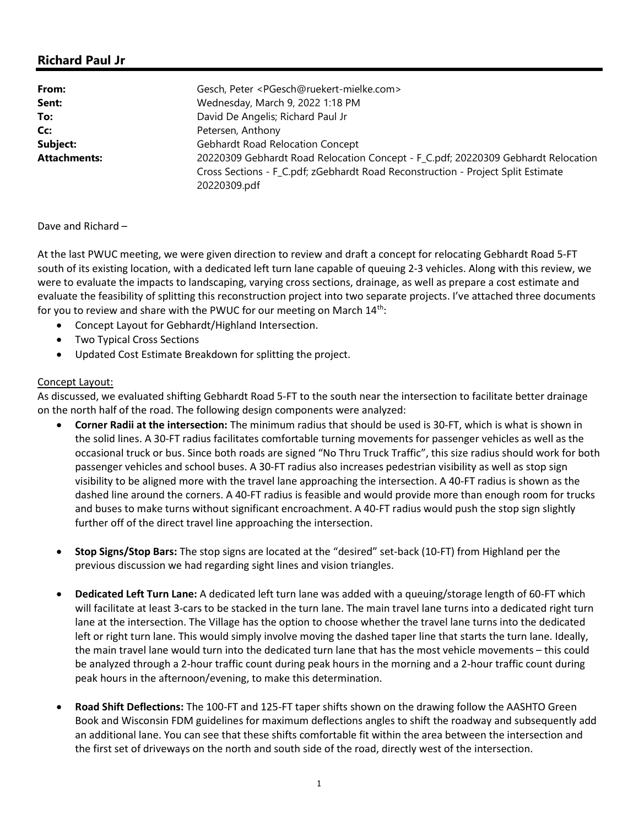# Richard Paul Jr

| Gesch, Peter <pgesch@ruekert-mielke.com></pgesch@ruekert-mielke.com>                                                                                                                  |
|---------------------------------------------------------------------------------------------------------------------------------------------------------------------------------------|
| Wednesday, March 9, 2022 1:18 PM                                                                                                                                                      |
| David De Angelis; Richard Paul Jr                                                                                                                                                     |
| Petersen, Anthony                                                                                                                                                                     |
| <b>Gebhardt Road Relocation Concept</b>                                                                                                                                               |
| 20220309 Gebhardt Road Relocation Concept - F_C.pdf; 20220309 Gebhardt Relocation<br>Cross Sections - F_C.pdf; zGebhardt Road Reconstruction - Project Split Estimate<br>20220309.pdf |
|                                                                                                                                                                                       |

## Dave and Richard –

At the last PWUC meeting, we were given direction to review and draft a concept for relocating Gebhardt Road 5-FT south of its existing location, with a dedicated left turn lane capable of queuing 2-3 vehicles. Along with this review, we were to evaluate the impacts to landscaping, varying cross sections, drainage, as well as prepare a cost estimate and evaluate the feasibility of splitting this reconstruction project into two separate projects. I've attached three documents for you to review and share with the PWUC for our meeting on March 14<sup>th</sup>:

- Concept Layout for Gebhardt/Highland Intersection.
- Two Typical Cross Sections
- Updated Cost Estimate Breakdown for splitting the project.

### Concept Layout:

As discussed, we evaluated shifting Gebhardt Road 5-FT to the south near the intersection to facilitate better drainage on the north half of the road. The following design components were analyzed:

- Corner Radii at the intersection: The minimum radius that should be used is 30-FT, which is what is shown in the solid lines. A 30-FT radius facilitates comfortable turning movements for passenger vehicles as well as the occasional truck or bus. Since both roads are signed "No Thru Truck Traffic", this size radius should work for both passenger vehicles and school buses. A 30-FT radius also increases pedestrian visibility as well as stop sign visibility to be aligned more with the travel lane approaching the intersection. A 40-FT radius is shown as the dashed line around the corners. A 40-FT radius is feasible and would provide more than enough room for trucks and buses to make turns without significant encroachment. A 40-FT radius would push the stop sign slightly further off of the direct travel line approaching the intersection.
- Stop Signs/Stop Bars: The stop signs are located at the "desired" set-back (10-FT) from Highland per the previous discussion we had regarding sight lines and vision triangles.
- Dedicated Left Turn Lane: A dedicated left turn lane was added with a queuing/storage length of 60-FT which will facilitate at least 3-cars to be stacked in the turn lane. The main travel lane turns into a dedicated right turn lane at the intersection. The Village has the option to choose whether the travel lane turns into the dedicated left or right turn lane. This would simply involve moving the dashed taper line that starts the turn lane. Ideally, the main travel lane would turn into the dedicated turn lane that has the most vehicle movements – this could be analyzed through a 2-hour traffic count during peak hours in the morning and a 2-hour traffic count during peak hours in the afternoon/evening, to make this determination.
- Road Shift Deflections: The 100-FT and 125-FT taper shifts shown on the drawing follow the AASHTO Green Book and Wisconsin FDM guidelines for maximum deflections angles to shift the roadway and subsequently add an additional lane. You can see that these shifts comfortable fit within the area between the intersection and the first set of driveways on the north and south side of the road, directly west of the intersection.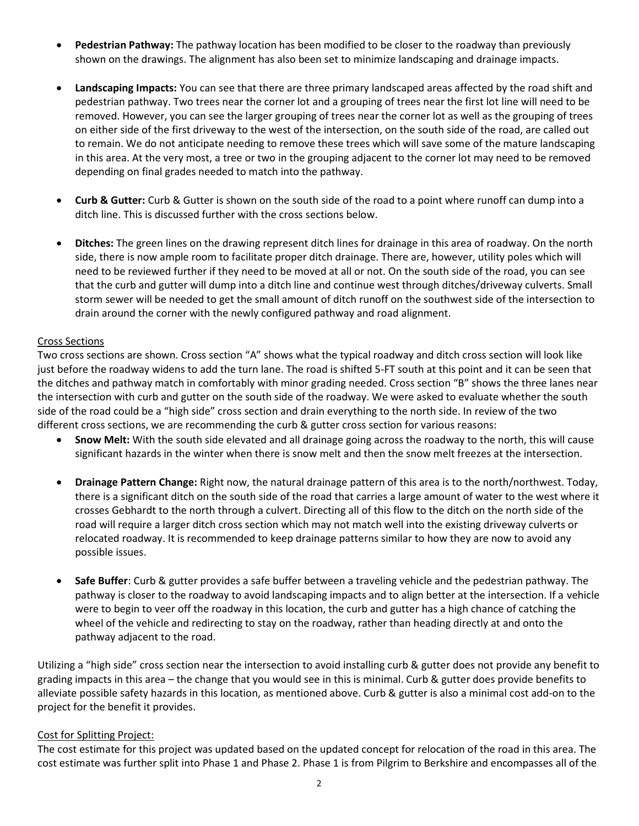- Pedestrian Pathway: The pathway location has been modified to be closer to the roadway than previously shown on the drawings. The alignment has also been set to minimize landscaping and drainage impacts.
- Landscaping Impacts: You can see that there are three primary landscaped areas affected by the road shift and pedestrian pathway. Two trees near the corner lot and a grouping of trees near the first lot line will need to be removed. However, you can see the larger grouping of trees near the corner lot as well as the grouping of trees on either side of the first driveway to the west of the intersection, on the south side of the road, are called out to remain. We do not anticipate needing to remove these trees which will save some of the mature landscaping in this area. At the very most, a tree or two in the grouping adjacent to the corner lot may need to be removed depending on final grades needed to match into the pathway.
- Curb & Gutter: Curb & Gutter is shown on the south side of the road to a point where runoff can dump into a ditch line. This is discussed further with the cross sections below.
- Ditches: The green lines on the drawing represent ditch lines for drainage in this area of roadway. On the north side, there is now ample room to facilitate proper ditch drainage. There are, however, utility poles which will need to be reviewed further if they need to be moved at all or not. On the south side of the road, you can see that the curb and gutter will dump into a ditch line and continue west through ditches/driveway culverts. Small storm sewer will be needed to get the small amount of ditch runoff on the southwest side of the intersection to drain around the corner with the newly configured pathway and road alignment.

### Cross Sections

Two cross sections are shown. Cross section "A" shows what the typical roadway and ditch cross section will look like just before the roadway widens to add the turn lane. The road is shifted 5-FT south at this point and it can be seen that the ditches and pathway match in comfortably with minor grading needed. Cross section "B" shows the three lanes near the intersection with curb and gutter on the south side of the roadway. We were asked to evaluate whether the south side of the road could be a "high side" cross section and drain everything to the north side. In review of the two different cross sections, we are recommending the curb & gutter cross section for various reasons:

- Snow Melt: With the south side elevated and all drainage going across the roadway to the north, this will cause significant hazards in the winter when there is snow melt and then the snow melt freezes at the intersection.
- Drainage Pattern Change: Right now, the natural drainage pattern of this area is to the north/northwest. Today, there is a significant ditch on the south side of the road that carries a large amount of water to the west where it crosses Gebhardt to the north through a culvert. Directing all of this flow to the ditch on the north side of the road will require a larger ditch cross section which may not match well into the existing driveway culverts or relocated roadway. It is recommended to keep drainage patterns similar to how they are now to avoid any possible issues.
- Safe Buffer: Curb & gutter provides a safe buffer between a traveling vehicle and the pedestrian pathway. The pathway is closer to the roadway to avoid landscaping impacts and to align better at the intersection. If a vehicle were to begin to veer off the roadway in this location, the curb and gutter has a high chance of catching the wheel of the vehicle and redirecting to stay on the roadway, rather than heading directly at and onto the pathway adjacent to the road.

Utilizing a "high side" cross section near the intersection to avoid installing curb & gutter does not provide any benefit to grading impacts in this area – the change that you would see in this is minimal. Curb & gutter does provide benefits to alleviate possible safety hazards in this location, as mentioned above. Curb & gutter is also a minimal cost add-on to the project for the benefit it provides.

### Cost for Splitting Project:

The cost estimate for this project was updated based on the updated concept for relocation of the road in this area. The cost estimate was further split into Phase 1 and Phase 2. Phase 1 is from Pilgrim to Berkshire and encompasses all of the